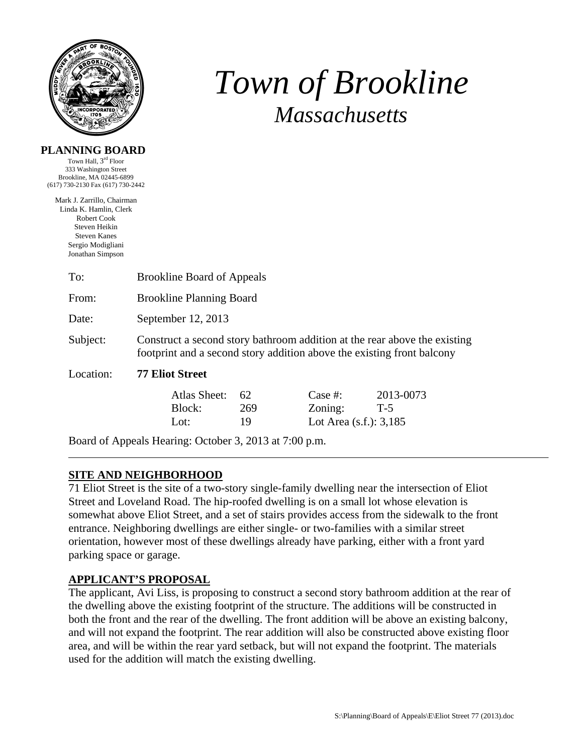

# *Town of Brookline Massachusetts*

#### **PLANNING BOARD**

Town Hall, 3rd Floor 333 Washington Street Brookline, MA 02445-6899 (617) 730-2130 Fax (617) 730-2442

Mark J. Zarrillo, Chairman Linda K. Hamlin, Clerk Robert Cook Steven Heikin Steven Kanes Sergio Modigliani Jonathan Simpson

| To:       | <b>Brookline Board of Appeals</b>                                                                                                                   |                 |                                                    |                    |  |  |
|-----------|-----------------------------------------------------------------------------------------------------------------------------------------------------|-----------------|----------------------------------------------------|--------------------|--|--|
| From:     | <b>Brookline Planning Board</b>                                                                                                                     |                 |                                                    |                    |  |  |
| Date:     | September 12, 2013                                                                                                                                  |                 |                                                    |                    |  |  |
| Subject:  | Construct a second story bathroom addition at the rear above the existing<br>footprint and a second story addition above the existing front balcony |                 |                                                    |                    |  |  |
| Location: | <b>77 Eliot Street</b>                                                                                                                              |                 |                                                    |                    |  |  |
|           | Atlas Sheet:<br>Block:<br>Lot:                                                                                                                      | 62<br>269<br>19 | Case $#$ :<br>Zoning:<br>Lot Area $(s.f.)$ : 3,185 | 2013-0073<br>$T-5$ |  |  |

Board of Appeals Hearing: October 3, 2013 at 7:00 p.m.

# **SITE AND NEIGHBORHOOD**

71 Eliot Street is the site of a two-story single-family dwelling near the intersection of Eliot Street and Loveland Road. The hip-roofed dwelling is on a small lot whose elevation is somewhat above Eliot Street, and a set of stairs provides access from the sidewalk to the front entrance. Neighboring dwellings are either single- or two-families with a similar street orientation, however most of these dwellings already have parking, either with a front yard parking space or garage.

# **APPLICANT'S PROPOSAL**

The applicant, Avi Liss, is proposing to construct a second story bathroom addition at the rear of the dwelling above the existing footprint of the structure. The additions will be constructed in both the front and the rear of the dwelling. The front addition will be above an existing balcony, and will not expand the footprint. The rear addition will also be constructed above existing floor area, and will be within the rear yard setback, but will not expand the footprint. The materials used for the addition will match the existing dwelling.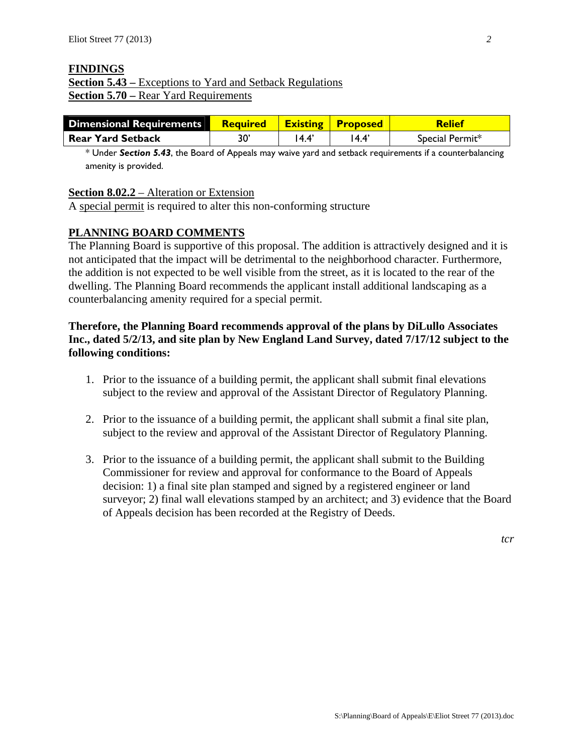#### **FINDINGS**

# **Section 5.43 –** Exceptions to Yard and Setback Regulations **Section 5.70 –** Rear Yard Requirements

| <b>Dimensional Requirements</b> | <b>Required Existing Proposed</b> |      |        | <b>Relief</b>   |
|---------------------------------|-----------------------------------|------|--------|-----------------|
| <b>Rear Yard Setback</b>        | 30'                               | 14.4 | l 4.4' | Special Permit* |

\* Under *Section 5.43*, the Board of Appeals may waive yard and setback requirements if a counterbalancing amenity is provided.

#### **Section 8.02.2** – Alteration or Extension

A special permit is required to alter this non-conforming structure

# **PLANNING BOARD COMMENTS**

The Planning Board is supportive of this proposal. The addition is attractively designed and it is not anticipated that the impact will be detrimental to the neighborhood character. Furthermore, the addition is not expected to be well visible from the street, as it is located to the rear of the dwelling. The Planning Board recommends the applicant install additional landscaping as a counterbalancing amenity required for a special permit.

#### **Therefore, the Planning Board recommends approval of the plans by DiLullo Associates Inc., dated 5/2/13, and site plan by New England Land Survey, dated 7/17/12 subject to the following conditions:**

- 1. Prior to the issuance of a building permit, the applicant shall submit final elevations subject to the review and approval of the Assistant Director of Regulatory Planning.
- 2. Prior to the issuance of a building permit, the applicant shall submit a final site plan, subject to the review and approval of the Assistant Director of Regulatory Planning.
- 3. Prior to the issuance of a building permit, the applicant shall submit to the Building Commissioner for review and approval for conformance to the Board of Appeals decision: 1) a final site plan stamped and signed by a registered engineer or land surveyor; 2) final wall elevations stamped by an architect; and 3) evidence that the Board of Appeals decision has been recorded at the Registry of Deeds.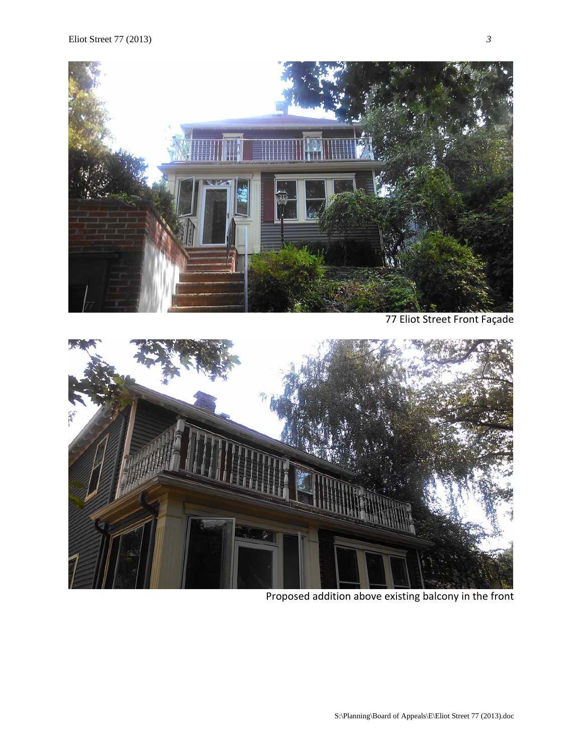

77 Eliot Street Front Façade



Proposed addition above existing balcony in the front